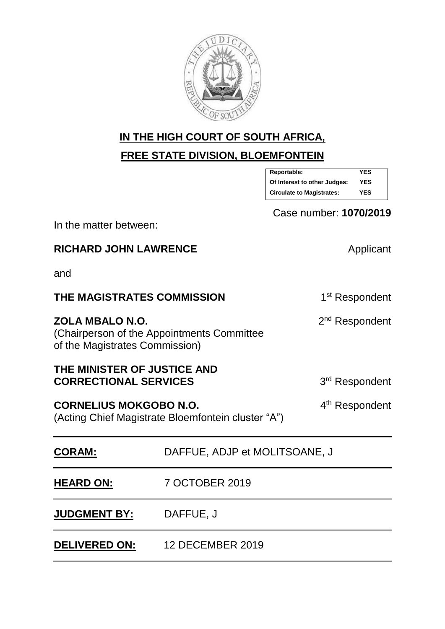

# **IN THE HIGH COURT OF SOUTH AFRICA,**

**FREE STATE DIVISION, BLOEMFONTEIN**

| Reportable:                      | YES        |  |
|----------------------------------|------------|--|
| Of Interest to other Judges:     | <b>YES</b> |  |
| <b>Circulate to Magistrates:</b> | YES        |  |

Case number: **1070/2019**

In the matter between:

**RICHARD JOHN LAWRENCE** Applicant

and

| THE MAGISTRATES COMMISSION                                                                                        | 1 <sup>st</sup> Respondent    |  |
|-------------------------------------------------------------------------------------------------------------------|-------------------------------|--|
| ZOLA MBALO N.O.<br>(Chairperson of the Appointments Committee)<br>of the Magistrates Commission)                  | 2 <sup>nd</sup> Respondent    |  |
| THE MINISTER OF JUSTICE AND<br><b>CORRECTIONAL SERVICES</b>                                                       | 3 <sup>rd</sup> Respondent    |  |
| 4 <sup>th</sup> Respondent<br><b>CORNELIUS MOKGOBO N.O.</b><br>(Acting Chief Magistrate Bloemfontein cluster "A") |                               |  |
| <b>CORAM:</b>                                                                                                     | DAFFUE, ADJP et MOLITSOANE, J |  |
| <b>HEARD ON:</b>                                                                                                  | 7 OCTOBER 2019                |  |

# **JUDGMENT BY:** DAFFUE, J

**DELIVERED ON:** 12 DECEMBER 2019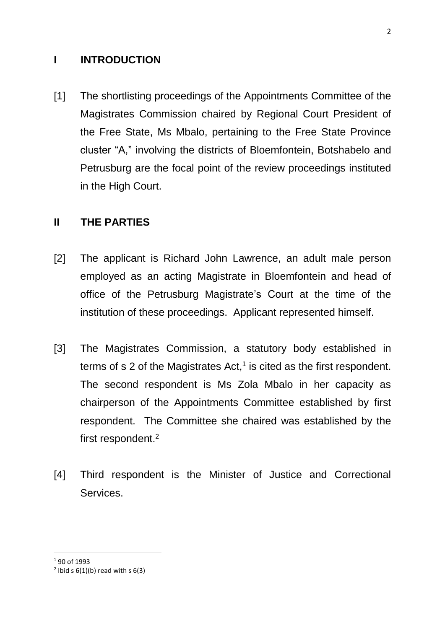#### **I INTRODUCTION**

[1] The shortlisting proceedings of the Appointments Committee of the Magistrates Commission chaired by Regional Court President of the Free State, Ms Mbalo, pertaining to the Free State Province cluster "A," involving the districts of Bloemfontein, Botshabelo and Petrusburg are the focal point of the review proceedings instituted in the High Court.

#### **II THE PARTIES**

- [2] The applicant is Richard John Lawrence, an adult male person employed as an acting Magistrate in Bloemfontein and head of office of the Petrusburg Magistrate's Court at the time of the institution of these proceedings. Applicant represented himself.
- [3] The Magistrates Commission, a statutory body established in terms of s 2 of the Magistrates Act, 1 is cited as the first respondent. The second respondent is Ms Zola Mbalo in her capacity as chairperson of the Appointments Committee established by first respondent. The Committee she chaired was established by the first respondent.<sup>2</sup>
- [4] Third respondent is the Minister of Justice and Correctional Services.

<sup>1</sup> 90 of 1993

 $2$  Ibid s  $6(1)(b)$  read with s  $6(3)$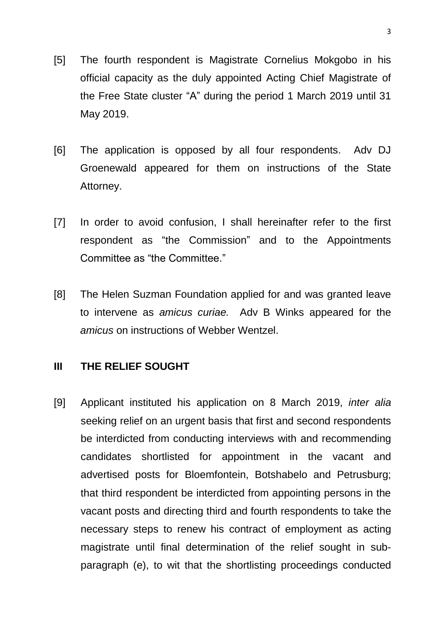- [5] The fourth respondent is Magistrate Cornelius Mokgobo in his official capacity as the duly appointed Acting Chief Magistrate of the Free State cluster "A" during the period 1 March 2019 until 31 May 2019.
- [6] The application is opposed by all four respondents. Adv DJ Groenewald appeared for them on instructions of the State Attorney.
- [7] In order to avoid confusion, I shall hereinafter refer to the first respondent as "the Commission" and to the Appointments Committee as "the Committee."
- [8] The Helen Suzman Foundation applied for and was granted leave to intervene as *amicus curiae.* Adv B Winks appeared for the *amicus* on instructions of Webber Wentzel.

#### **III THE RELIEF SOUGHT**

[9] Applicant instituted his application on 8 March 2019, *inter alia* seeking relief on an urgent basis that first and second respondents be interdicted from conducting interviews with and recommending candidates shortlisted for appointment in the vacant and advertised posts for Bloemfontein, Botshabelo and Petrusburg; that third respondent be interdicted from appointing persons in the vacant posts and directing third and fourth respondents to take the necessary steps to renew his contract of employment as acting magistrate until final determination of the relief sought in subparagraph (e), to wit that the shortlisting proceedings conducted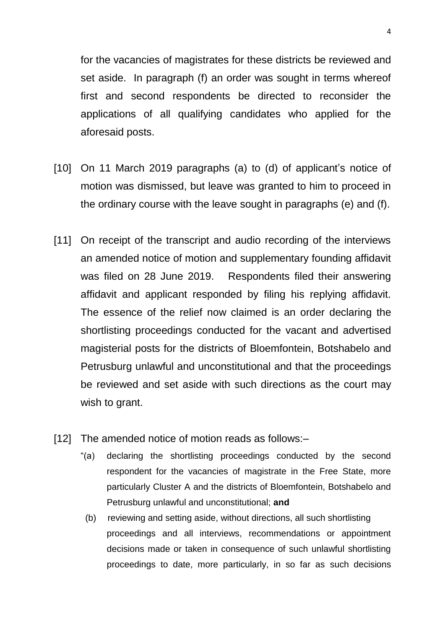for the vacancies of magistrates for these districts be reviewed and set aside. In paragraph (f) an order was sought in terms whereof first and second respondents be directed to reconsider the applications of all qualifying candidates who applied for the aforesaid posts.

- [10] On 11 March 2019 paragraphs (a) to (d) of applicant's notice of motion was dismissed, but leave was granted to him to proceed in the ordinary course with the leave sought in paragraphs (e) and (f).
- [11] On receipt of the transcript and audio recording of the interviews an amended notice of motion and supplementary founding affidavit was filed on 28 June 2019. Respondents filed their answering affidavit and applicant responded by filing his replying affidavit. The essence of the relief now claimed is an order declaring the shortlisting proceedings conducted for the vacant and advertised magisterial posts for the districts of Bloemfontein, Botshabelo and Petrusburg unlawful and unconstitutional and that the proceedings be reviewed and set aside with such directions as the court may wish to grant.
- [12] The amended notice of motion reads as follows:-
	- "(a) declaring the shortlisting proceedings conducted by the second respondent for the vacancies of magistrate in the Free State, more particularly Cluster A and the districts of Bloemfontein, Botshabelo and Petrusburg unlawful and unconstitutional; **and**
		- (b) reviewing and setting aside, without directions, all such shortlisting proceedings and all interviews, recommendations or appointment decisions made or taken in consequence of such unlawful shortlisting proceedings to date, more particularly, in so far as such decisions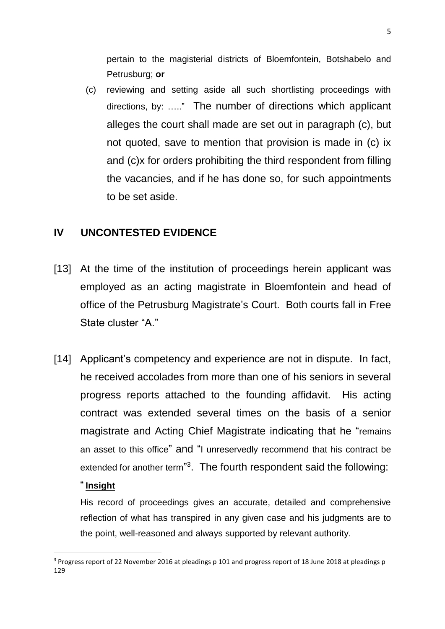pertain to the magisterial districts of Bloemfontein, Botshabelo and Petrusburg; **or**

(c) reviewing and setting aside all such shortlisting proceedings with directions, by: ….." The number of directions which applicant alleges the court shall made are set out in paragraph (c), but not quoted, save to mention that provision is made in (c) ix and (c)x for orders prohibiting the third respondent from filling the vacancies, and if he has done so, for such appointments to be set aside.

### **IV UNCONTESTED EVIDENCE**

- [13] At the time of the institution of proceedings herein applicant was employed as an acting magistrate in Bloemfontein and head of office of the Petrusburg Magistrate's Court. Both courts fall in Free State cluster "A."
- [14] Applicant's competency and experience are not in dispute. In fact, he received accolades from more than one of his seniors in several progress reports attached to the founding affidavit. His acting contract was extended several times on the basis of a senior magistrate and Acting Chief Magistrate indicating that he "remains an asset to this office" and "I unreservedly recommend that his contract be extended for another term"<sup>3</sup>. The fourth respondent said the following:

#### " **Insight**

His record of proceedings gives an accurate, detailed and comprehensive reflection of what has transpired in any given case and his judgments are to the point, well-reasoned and always supported by relevant authority.

**<sup>.</sup>** <sup>3</sup> Progress report of 22 November 2016 at pleadings p 101 and progress report of 18 June 2018 at pleadings p 129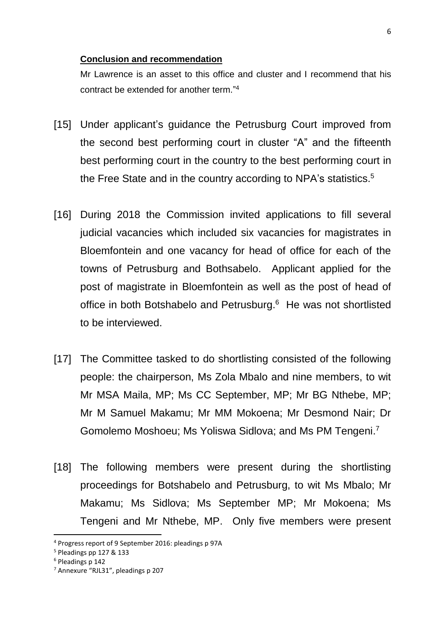#### **Conclusion and recommendation**

Mr Lawrence is an asset to this office and cluster and I recommend that his contract be extended for another term." 4

- [15] Under applicant's quidance the Petrusburg Court improved from the second best performing court in cluster "A" and the fifteenth best performing court in the country to the best performing court in the Free State and in the country according to NPA's statistics.<sup>5</sup>
- [16] During 2018 the Commission invited applications to fill several judicial vacancies which included six vacancies for magistrates in Bloemfontein and one vacancy for head of office for each of the towns of Petrusburg and Bothsabelo. Applicant applied for the post of magistrate in Bloemfontein as well as the post of head of office in both Botshabelo and Petrusburg.<sup>6</sup> He was not shortlisted to be interviewed.
- [17] The Committee tasked to do shortlisting consisted of the following people: the chairperson, Ms Zola Mbalo and nine members, to wit Mr MSA Maila, MP; Ms CC September, MP; Mr BG Nthebe, MP; Mr M Samuel Makamu; Mr MM Mokoena; Mr Desmond Nair; Dr Gomolemo Moshoeu; Ms Yoliswa Sidlova; and Ms PM Tengeni.<sup>7</sup>
- [18] The following members were present during the shortlisting proceedings for Botshabelo and Petrusburg, to wit Ms Mbalo; Mr Makamu; Ms Sidlova; Ms September MP; Mr Mokoena; Ms Tengeni and Mr Nthebe, MP. Only five members were present

<sup>4</sup> Progress report of 9 September 2016: pleadings p 97A

<sup>5</sup> Pleadings pp 127 & 133

<sup>6</sup> Pleadings p 142

<sup>7</sup> Annexure "RJL31", pleadings p 207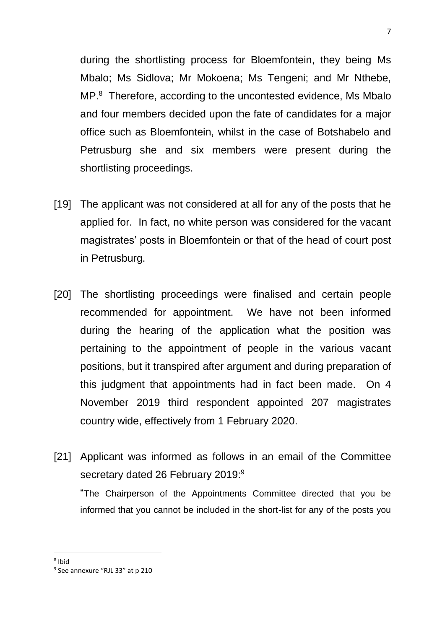during the shortlisting process for Bloemfontein, they being Ms Mbalo; Ms Sidlova; Mr Mokoena; Ms Tengeni; and Mr Nthebe, MP. 8 Therefore, according to the uncontested evidence, Ms Mbalo and four members decided upon the fate of candidates for a major office such as Bloemfontein, whilst in the case of Botshabelo and Petrusburg she and six members were present during the shortlisting proceedings.

- [19] The applicant was not considered at all for any of the posts that he applied for. In fact, no white person was considered for the vacant magistrates' posts in Bloemfontein or that of the head of court post in Petrusburg.
- [20] The shortlisting proceedings were finalised and certain people recommended for appointment. We have not been informed during the hearing of the application what the position was pertaining to the appointment of people in the various vacant positions, but it transpired after argument and during preparation of this judgment that appointments had in fact been made. On 4 November 2019 third respondent appointed 207 magistrates country wide, effectively from 1 February 2020.
- [21] Applicant was informed as follows in an email of the Committee secretary dated 26 February 2019: $9$

"The Chairperson of the Appointments Committee directed that you be informed that you cannot be included in the short-list for any of the posts you

<sup>8</sup> Ibid

<sup>&</sup>lt;sup>9</sup> See annexure "RJL 33" at p 210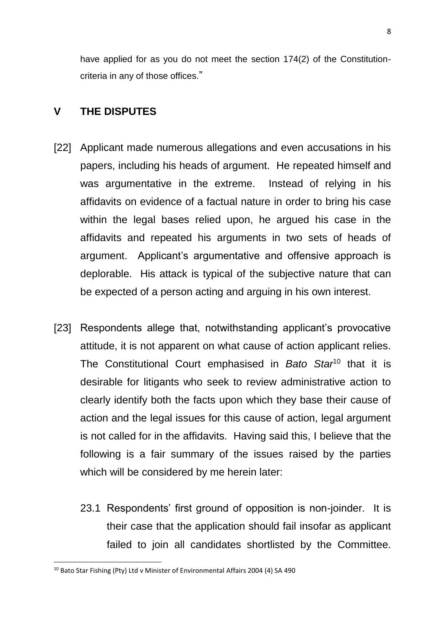have applied for as you do not meet the section 174(2) of the Constitutioncriteria in any of those offices."

#### **V THE DISPUTES**

- [22] Applicant made numerous allegations and even accusations in his papers, including his heads of argument. He repeated himself and was argumentative in the extreme. Instead of relying in his affidavits on evidence of a factual nature in order to bring his case within the legal bases relied upon, he argued his case in the affidavits and repeated his arguments in two sets of heads of argument. Applicant's argumentative and offensive approach is deplorable. His attack is typical of the subjective nature that can be expected of a person acting and arguing in his own interest.
- [23] Respondents allege that, notwithstanding applicant's provocative attitude, it is not apparent on what cause of action applicant relies. The Constitutional Court emphasised in *Bato Star*<sup>10</sup> that it is desirable for litigants who seek to review administrative action to clearly identify both the facts upon which they base their cause of action and the legal issues for this cause of action, legal argument is not called for in the affidavits. Having said this, I believe that the following is a fair summary of the issues raised by the parties which will be considered by me herein later:
	- 23.1 Respondents' first ground of opposition is non-joinder. It is their case that the application should fail insofar as applicant failed to join all candidates shortlisted by the Committee.

<sup>10</sup> Bato Star Fishing (Pty) Ltd v Minister of Environmental Affairs 2004 (4) SA 490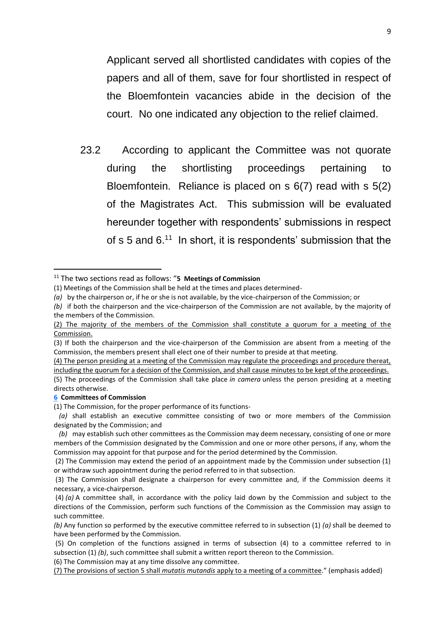Applicant served all shortlisted candidates with copies of the papers and all of them, save for four shortlisted in respect of the Bloemfontein vacancies abide in the decision of the court. No one indicated any objection to the relief claimed.

23.2 According to applicant the Committee was not quorate during the shortlisting proceedings pertaining to Bloemfontein. Reliance is placed on s 6(7) read with s 5(2) of the Magistrates Act. This submission will be evaluated hereunder together with respondents' submissions in respect of s 5 and  $6<sup>11</sup>$  In short, it is respondents' submission that the

#### **[6](https://jutastat.juta.co.za/nxt/foliolinks.asp?f=xhitlist&xhitlist_x=Advanced&xhitlist_vpc=first&xhitlist_xsl=querylink.xsl&xhitlist_sel=title;path;content-type;home-title&xhitlist_d=%7bstatreg%7d&xhitlist_q=%5bfield%20folio-destination-name:%27LJC_a90y1993s6%27%5d&xhitlist_md=target-id=0-0-0-181349) Committees of Commission**

1

(1) The Commission, for the proper performance of its functions-

(6) The Commission may at any time dissolve any committee.

(7) The provisions of section 5 shall *mutatis mutandis* apply to a meeting of a committee." (emphasis added)

<sup>11</sup> The two sections read as follows: "**5 Meetings of Commission**

<sup>(1)</sup> Meetings of the Commission shall be held at the times and places determined-

*<sup>(</sup>a)* by the chairperson or, if he or she is not available, by the vice-chairperson of the Commission; or

*<sup>(</sup>b)* if both the chairperson and the vice-chairperson of the Commission are not available, by the majority of the members of the Commission.

<sup>(2)</sup> The majority of the members of the Commission shall constitute a quorum for a meeting of the Commission.

<sup>(3)</sup> If both the chairperson and the vice-chairperson of the Commission are absent from a meeting of the Commission, the members present shall elect one of their number to preside at that meeting.

<sup>(4)</sup> The person presiding at a meeting of the Commission may regulate the proceedings and procedure thereat, including the quorum for a decision of the Commission, and shall cause minutes to be kept of the proceedings. (5) The proceedings of the Commission shall take place *in camera* unless the person presiding at a meeting directs otherwise.

*(a)* shall establish an executive committee consisting of two or more members of the Commission designated by the Commission; and

*(b)* may establish such other committees as the Commission may deem necessary, consisting of one or more members of the Commission designated by the Commission and one or more other persons, if any, whom the Commission may appoint for that purpose and for the period determined by the Commission.

<sup>(2)</sup> The Commission may extend the period of an appointment made by the Commission under subsection (1) or withdraw such appointment during the period referred to in that subsection.

<sup>(3)</sup> The Commission shall designate a chairperson for every committee and, if the Commission deems it necessary, a vice-chairperson.

<sup>(4)</sup> *(a)* A committee shall, in accordance with the policy laid down by the Commission and subject to the directions of the Commission, perform such functions of the Commission as the Commission may assign to such committee.

*<sup>(</sup>b)* Any function so performed by the executive committee referred to in subsection (1) *(a)* shall be deemed to have been performed by the Commission.

<sup>(5)</sup> On completion of the functions assigned in terms of subsection (4) to a committee referred to in subsection (1) *(b)*, such committee shall submit a written report thereon to the Commission.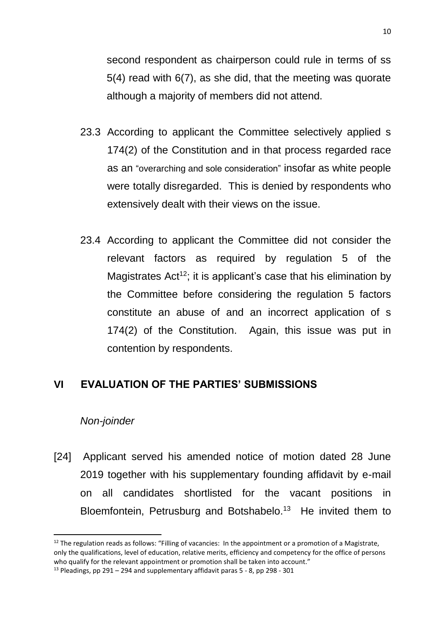second respondent as chairperson could rule in terms of ss 5(4) read with 6(7), as she did, that the meeting was quorate although a majority of members did not attend.

- 23.3 According to applicant the Committee selectively applied s 174(2) of the Constitution and in that process regarded race as an "overarching and sole consideration" insofar as white people were totally disregarded. This is denied by respondents who extensively dealt with their views on the issue.
- 23.4 According to applicant the Committee did not consider the relevant factors as required by regulation 5 of the Magistrates  $Act^{12}$ ; it is applicant's case that his elimination by the Committee before considering the regulation 5 factors constitute an abuse of and an incorrect application of s 174(2) of the Constitution. Again, this issue was put in contention by respondents.

#### **VI EVALUATION OF THE PARTIES' SUBMISSIONS**

#### *Non-joinder*

**.** 

[24] Applicant served his amended notice of motion dated 28 June 2019 together with his supplementary founding affidavit by e-mail on all candidates shortlisted for the vacant positions in Bloemfontein, Petrusburg and Botshabelo.<sup>13</sup> He invited them to

<sup>&</sup>lt;sup>12</sup> The regulation reads as follows: "Filling of vacancies: In the appointment or a promotion of a Magistrate, only the qualifications, level of education, relative merits, efficiency and competency for the office of persons who qualify for the relevant appointment or promotion shall be taken into account."

 $13$  Pleadings, pp 291 – 294 and supplementary affidavit paras 5 - 8, pp 298 - 301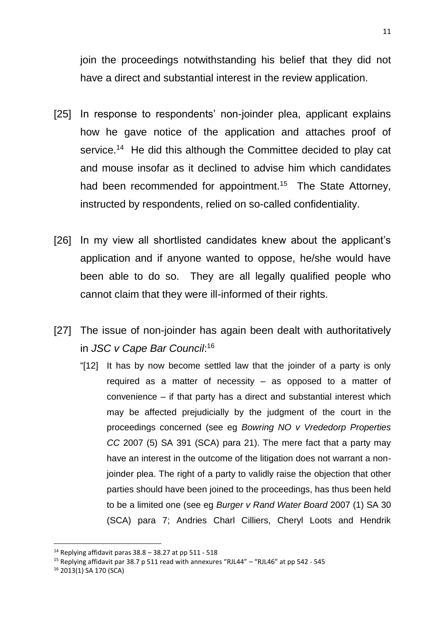join the proceedings notwithstanding his belief that they did not have a direct and substantial interest in the review application.

- [25] In response to respondents' non-joinder plea, applicant explains how he gave notice of the application and attaches proof of service.<sup>14</sup> He did this although the Committee decided to play cat and mouse insofar as it declined to advise him which candidates had been recommended for appointment.<sup>15</sup> The State Attorney, instructed by respondents, relied on so-called confidentiality.
- [26] In my view all shortlisted candidates knew about the applicant's application and if anyone wanted to oppose, he/she would have been able to do so. They are all legally qualified people who cannot claim that they were ill-informed of their rights.
- [27] The issue of non-joinder has again been dealt with authoritatively in *JSC v Cape Bar Council*: 16
	- "[12] It has by now become settled law that the joinder of a party is only required as a matter of necessity – as opposed to a matter of convenience – if that party has a direct and substantial interest which may be affected prejudicially by the judgment of the court in the proceedings concerned (see eg *Bowring NO v Vrededorp Properties CC* 2007 (5) SA 391 (SCA) para 21). The mere fact that a party may have an interest in the outcome of the litigation does not warrant a nonjoinder plea. The right of a party to validly raise the objection that other parties should have been joined to the proceedings, has thus been held to be a limited one (see eg *Burger v Rand Water Board* 2007 (1) SA 30 (SCA) para 7; Andries Charl Cilliers, Cheryl Loots and Hendrik

<sup>&</sup>lt;sup>14</sup> Replying affidavit paras  $38.8 - 38.27$  at pp  $511 - 518$ 

<sup>15</sup> Replying affidavit par 38.7 p 511 read with annexures "RJL44" – "RJL46" at pp 542 - 545

<sup>16</sup> 2013(1) SA 170 (SCA)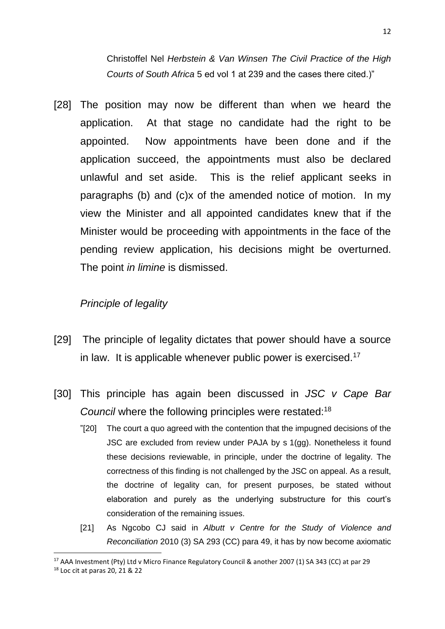Christoffel Nel *Herbstein & Van Winsen The Civil Practice of the High Courts of South Africa* 5 ed vol 1 at 239 and the cases there cited.)"

[28] The position may now be different than when we heard the application. At that stage no candidate had the right to be appointed. Now appointments have been done and if the application succeed, the appointments must also be declared unlawful and set aside. This is the relief applicant seeks in paragraphs (b) and (c)x of the amended notice of motion. In my view the Minister and all appointed candidates knew that if the Minister would be proceeding with appointments in the face of the pending review application, his decisions might be overturned. The point *in limine* is dismissed.

#### *Principle of legality*

- [29] The principle of legality dictates that power should have a source in law. It is applicable whenever public power is exercised.<sup>17</sup>
- [30] This principle has again been discussed in *JSC v Cape Bar Council* where the following principles were restated:<sup>18</sup>
	- "[20] The court a quo agreed with the contention that the impugned decisions of the JSC are excluded from review under PAJA by s 1(gg). Nonetheless it found these decisions reviewable, in principle, under the doctrine of legality. The correctness of this finding is not challenged by the JSC on appeal. As a result, the doctrine of legality can, for present purposes, be stated without elaboration and purely as the underlying substructure for this court's consideration of the remaining issues.
	- [21] As Ngcobo CJ said in *Albutt v Centre for the Study of Violence and Reconciliation* 2010 (3) SA 293 (CC) para 49, it has by now become axiomatic

<sup>17</sup> AAA Investment (Pty) Ltd v Micro Finance Regulatory Council & another 2007 (1) SA 343 (CC) at par 29

<sup>18</sup> Loc cit at paras 20, 21 & 22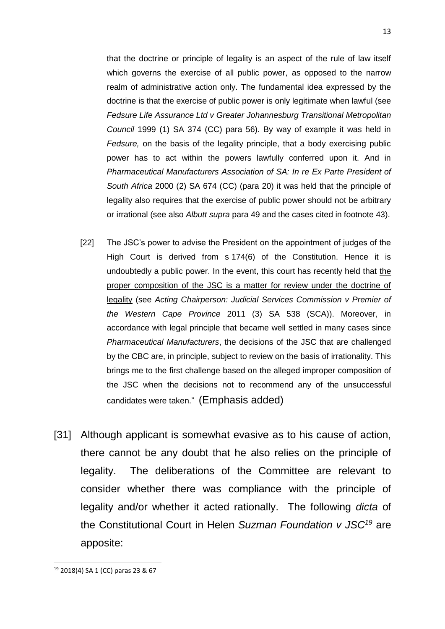that the doctrine or principle of legality is an aspect of the rule of law itself which governs the exercise of all public power, as opposed to the narrow realm of administrative action only. The fundamental idea expressed by the doctrine is that the exercise of public power is only legitimate when lawful (see *Fedsure Life Assurance Ltd v Greater Johannesburg Transitional Metropolitan Council* 1999 (1) SA 374 (CC) para 56). By way of example it was held in *Fedsure,* on the basis of the legality principle, that a body exercising public power has to act within the powers lawfully conferred upon it. And in *Pharmaceutical Manufacturers Association of SA: In re Ex Parte President of South Africa* 2000 (2) SA 674 (CC) (para 20) it was held that the principle of legality also requires that the exercise of public power should not be arbitrary or irrational (see also *Albutt supra* para 49 and the cases cited in footnote 43).

- [22] The JSC's power to advise the President on the appointment of judges of the High Court is derived from s 174(6) of the Constitution. Hence it is undoubtedly a public power. In the event, this court has recently held that the proper composition of the JSC is a matter for review under the doctrine of legality (see *Acting Chairperson: Judicial Services Commission v Premier of the Western Cape Province* 2011 (3) SA 538 (SCA)). Moreover, in accordance with legal principle that became well settled in many cases since *Pharmaceutical Manufacturers*, the decisions of the JSC that are challenged by the CBC are, in principle, subject to review on the basis of irrationality. This brings me to the first challenge based on the alleged improper composition of the JSC when the decisions not to recommend any of the unsuccessful candidates were taken." (Emphasis added)
- [31] Although applicant is somewhat evasive as to his cause of action, there cannot be any doubt that he also relies on the principle of legality. The deliberations of the Committee are relevant to consider whether there was compliance with the principle of legality and/or whether it acted rationally. The following *dicta* of the Constitutional Court in Helen *Suzman Foundation v JSC<sup>19</sup>* are apposite:

**<sup>.</sup>** <sup>19</sup> 2018(4) SA 1 (CC) paras 23 & 67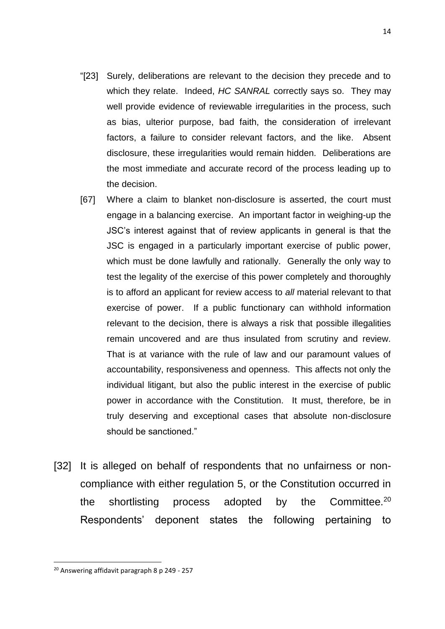- "[23] Surely, deliberations are relevant to the decision they precede and to which they relate. Indeed, *HC SANRAL* correctly says so. They may well provide evidence of reviewable irregularities in the process, such as bias, ulterior purpose, bad faith, the consideration of irrelevant factors, a failure to consider relevant factors, and the like. Absent disclosure, these irregularities would remain hidden. Deliberations are the most immediate and accurate record of the process leading up to the decision.
- [67] Where a claim to blanket non-disclosure is asserted, the court must engage in a balancing exercise. An important factor in weighing-up the JSC's interest against that of review applicants in general is that the JSC is engaged in a particularly important exercise of public power, which must be done lawfully and rationally. Generally the only way to test the legality of the exercise of this power completely and thoroughly is to afford an applicant for review access to *all* material relevant to that exercise of power. If a public functionary can withhold information relevant to the decision, there is always a risk that possible illegalities remain uncovered and are thus insulated from scrutiny and review. That is at variance with the rule of law and our paramount values of accountability, responsiveness and openness. This affects not only the individual litigant, but also the public interest in the exercise of public power in accordance with the Constitution. It must, therefore, be in truly deserving and exceptional cases that absolute non-disclosure should be sanctioned."
- [32] It is alleged on behalf of respondents that no unfairness or noncompliance with either regulation 5, or the Constitution occurred in the shortlisting process adopted by the Committee.<sup>20</sup> Respondents' deponent states the following pertaining to

<sup>14</sup>

<sup>&</sup>lt;sup>20</sup> Answering affidavit paragraph 8 p 249 - 257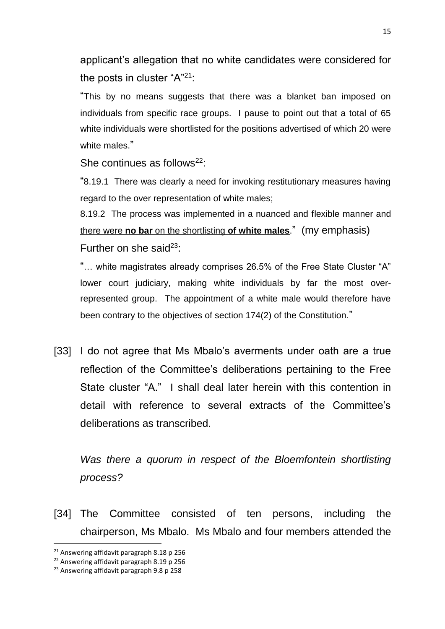applicant's allegation that no white candidates were considered for the posts in cluster "A"<sup>21</sup>:

"This by no means suggests that there was a blanket ban imposed on individuals from specific race groups. I pause to point out that a total of 65 white individuals were shortlisted for the positions advertised of which 20 were white males."

She continues as follows<sup>22</sup>:

"8.19.1 There was clearly a need for invoking restitutionary measures having regard to the over representation of white males;

8.19.2 The process was implemented in a nuanced and flexible manner and there were **no bar** on the shortlisting **of white males**." (my emphasis) Further on she said<sup>23</sup>:

"… white magistrates already comprises 26.5% of the Free State Cluster "A" lower court judiciary, making white individuals by far the most overrepresented group. The appointment of a white male would therefore have been contrary to the objectives of section 174(2) of the Constitution."

[33] I do not agree that Ms Mbalo's averments under oath are a true reflection of the Committee's deliberations pertaining to the Free State cluster "A." I shall deal later herein with this contention in detail with reference to several extracts of the Committee's deliberations as transcribed.

*Was there a quorum in respect of the Bloemfontein shortlisting process?*

[34] The Committee consisted of ten persons, including the chairperson, Ms Mbalo. Ms Mbalo and four members attended the

<sup>&</sup>lt;sup>21</sup> Answering affidavit paragraph 8.18 p 256

<sup>22</sup> Answering affidavit paragraph 8.19 p 256

<sup>&</sup>lt;sup>23</sup> Answering affidavit paragraph 9.8 p 258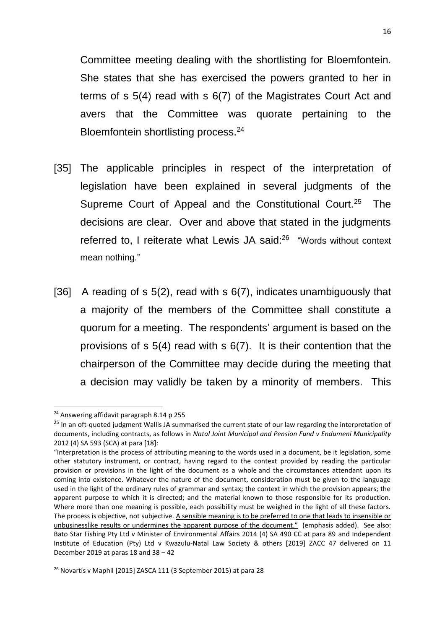Committee meeting dealing with the shortlisting for Bloemfontein. She states that she has exercised the powers granted to her in terms of s 5(4) read with s 6(7) of the Magistrates Court Act and avers that the Committee was quorate pertaining to the Bloemfontein shortlisting process.<sup>24</sup>

- [35] The applicable principles in respect of the interpretation of legislation have been explained in several judgments of the Supreme Court of Appeal and the Constitutional Court.<sup>25</sup> The decisions are clear. Over and above that stated in the judgments referred to, I reiterate what Lewis JA said:<sup>26</sup> "Words without context mean nothing."
- [36] A reading of s 5(2), read with s 6(7), indicates unambiguously that a majority of the members of the Committee shall constitute a quorum for a meeting. The respondents' argument is based on the provisions of s 5(4) read with s 6(7). It is their contention that the chairperson of the Committee may decide during the meeting that a decision may validly be taken by a minority of members. This

<sup>&</sup>lt;sup>24</sup> Answering affidavit paragraph 8.14 p 255

<sup>&</sup>lt;sup>25</sup> In an oft-quoted judgment Wallis JA summarised the current state of our law regarding the interpretation of documents, including contracts, as follows in *Natal Joint Municipal and Pension Fund v Endumeni Municipality*  2012 (4) SA 593 (SCA) at para [18]:

<sup>&</sup>quot;Interpretation is the process of attributing meaning to the words used in a document, be it legislation, some other statutory instrument, or contract, having regard to the context provided by reading the particular provision or provisions in the light of the document as a whole and the circumstances attendant upon its coming into existence. Whatever the nature of the document, consideration must be given to the language used in the light of the ordinary rules of grammar and syntax; the context in which the provision appears; the apparent purpose to which it is directed; and the material known to those responsible for its production. Where more than one meaning is possible, each possibility must be weighed in the light of all these factors. The process is objective, not subjective. A sensible meaning is to be preferred to one that leads to insensible or unbusinesslike results or undermines the apparent purpose of the document." (emphasis added). See also: Bato Star Fishing Pty Ltd v Minister of Environmental Affairs 2014 (4) SA 490 CC at para 89 and Independent Institute of Education (Pty) Ltd v Kwazulu-Natal Law Society & others [2019] ZACC 47 delivered on 11 December 2019 at paras 18 and 38 – 42

<sup>26</sup> Novartis v Maphil [2015] ZASCA 111 (3 September 2015) at para 28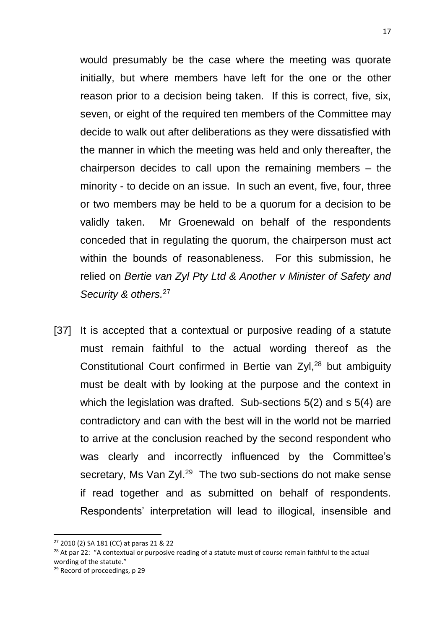would presumably be the case where the meeting was quorate initially, but where members have left for the one or the other reason prior to a decision being taken. If this is correct, five, six, seven, or eight of the required ten members of the Committee may decide to walk out after deliberations as they were dissatisfied with the manner in which the meeting was held and only thereafter, the chairperson decides to call upon the remaining members – the minority - to decide on an issue. In such an event, five, four, three or two members may be held to be a quorum for a decision to be validly taken. Mr Groenewald on behalf of the respondents conceded that in regulating the quorum, the chairperson must act within the bounds of reasonableness. For this submission, he relied on *Bertie van Zyl Pty Ltd & Another v Minister of Safety and Security & others.*<sup>27</sup>

17

[37] It is accepted that a contextual or purposive reading of a statute must remain faithful to the actual wording thereof as the Constitutional Court confirmed in Bertie van Zyl,<sup>28</sup> but ambiguity must be dealt with by looking at the purpose and the context in which the legislation was drafted. Sub-sections 5(2) and s 5(4) are contradictory and can with the best will in the world not be married to arrive at the conclusion reached by the second respondent who was clearly and incorrectly influenced by the Committee's secretary, Ms Van Zyl.<sup>29</sup> The two sub-sections do not make sense if read together and as submitted on behalf of respondents. Respondents' interpretation will lead to illogical, insensible and

- <sup>28</sup> At par 22: "A contextual or purposive reading of a statute must of course remain faithful to the actual wording of the statute."
- <sup>29</sup> Record of proceedings, p 29

<sup>27</sup> 2010 (2) SA 181 (CC) at paras 21 & 22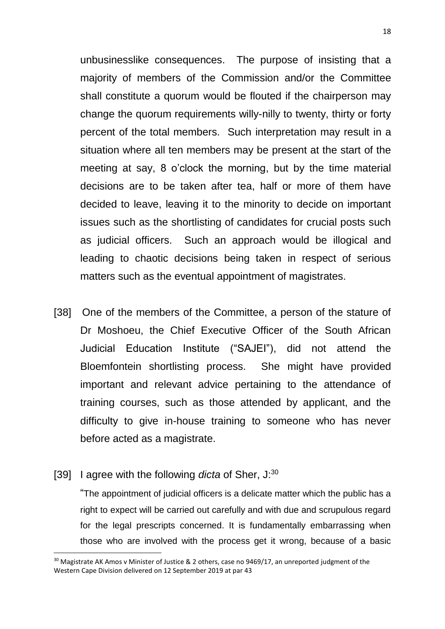unbusinesslike consequences. The purpose of insisting that a majority of members of the Commission and/or the Committee shall constitute a quorum would be flouted if the chairperson may change the quorum requirements willy-nilly to twenty, thirty or forty percent of the total members. Such interpretation may result in a situation where all ten members may be present at the start of the meeting at say, 8 o'clock the morning, but by the time material decisions are to be taken after tea, half or more of them have decided to leave, leaving it to the minority to decide on important issues such as the shortlisting of candidates for crucial posts such as judicial officers. Such an approach would be illogical and leading to chaotic decisions being taken in respect of serious matters such as the eventual appointment of magistrates.

- [38] One of the members of the Committee, a person of the stature of Dr Moshoeu, the Chief Executive Officer of the South African Judicial Education Institute ("SAJEI"), did not attend the Bloemfontein shortlisting process. She might have provided important and relevant advice pertaining to the attendance of training courses, such as those attended by applicant, and the difficulty to give in-house training to someone who has never before acted as a magistrate.
- [39] I agree with the following *dicta* of Sher, J:<sup>30</sup>

**.** 

"The appointment of judicial officers is a delicate matter which the public has a right to expect will be carried out carefully and with due and scrupulous regard for the legal prescripts concerned. It is fundamentally embarrassing when those who are involved with the process get it wrong, because of a basic

<sup>&</sup>lt;sup>30</sup> Magistrate AK Amos v Minister of Justice & 2 others, case no 9469/17, an unreported judgment of the Western Cape Division delivered on 12 September 2019 at par 43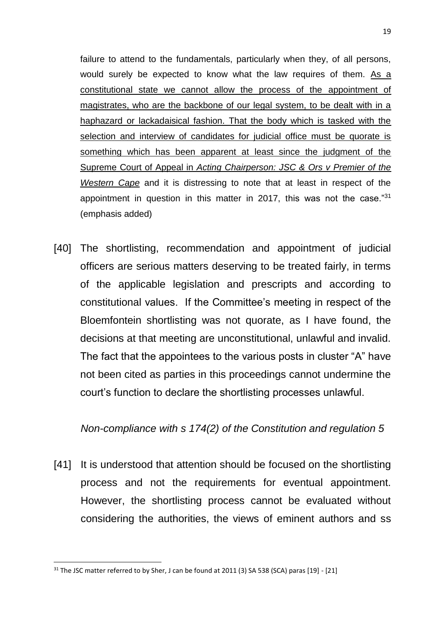failure to attend to the fundamentals, particularly when they, of all persons, would surely be expected to know what the law requires of them. As a constitutional state we cannot allow the process of the appointment of magistrates, who are the backbone of our legal system, to be dealt with in a haphazard or lackadaisical fashion. That the body which is tasked with the selection and interview of candidates for judicial office must be quorate is something which has been apparent at least since the judgment of the Supreme Court of Appeal in *Acting Chairperson: JSC & Ors v Premier of the Western Cape* and it is distressing to note that at least in respect of the appointment in question in this matter in 2017, this was not the case."<sup>31</sup> (emphasis added)

[40] The shortlisting, recommendation and appointment of judicial officers are serious matters deserving to be treated fairly, in terms of the applicable legislation and prescripts and according to constitutional values. If the Committee's meeting in respect of the Bloemfontein shortlisting was not quorate, as I have found, the decisions at that meeting are unconstitutional, unlawful and invalid. The fact that the appointees to the various posts in cluster "A" have not been cited as parties in this proceedings cannot undermine the court's function to declare the shortlisting processes unlawful.

#### *Non-compliance with s 174(2) of the Constitution and regulation 5*

[41] It is understood that attention should be focused on the shortlisting process and not the requirements for eventual appointment. However, the shortlisting process cannot be evaluated without considering the authorities, the views of eminent authors and ss

<sup>&</sup>lt;sup>31</sup> The JSC matter referred to by Sher, J can be found at 2011 (3) SA 538 (SCA) paras [19] - [21]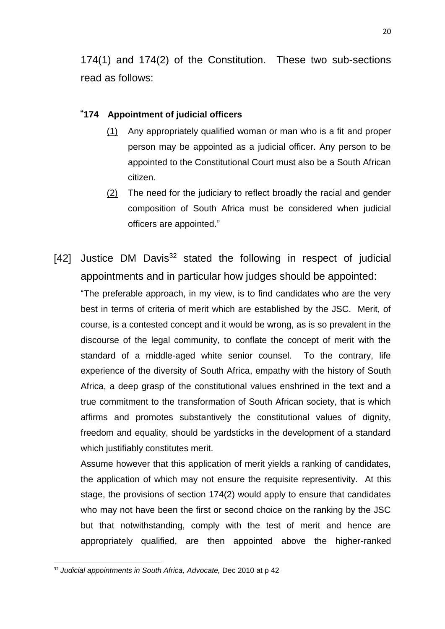174(1) and 174(2) of the Constitution. These two sub-sections read as follows:

#### "**174 Appointment of judicial officers**

- [\(1\)](https://jutastat.juta.co.za/nxt/foliolinks.asp?f=xhitlist&xhitlist_x=Advanced&xhitlist_vpc=first&xhitlist_xsl=querylink.xsl&xhitlist_sel=title;path;content-type;home-title&xhitlist_d=%7bstatreg%7d&xhitlist_q=%5bfield%20folio-destination-name:%27LJC_a108y1996s174(1)%27%5d&xhitlist_md=target-id=0-0-0-117559) Any appropriately qualified woman or man who is a fit and proper person may be appointed as a judicial officer. Any person to be appointed to the Constitutional Court must also be a South African citizen.
- [\(2\)](https://jutastat.juta.co.za/nxt/foliolinks.asp?f=xhitlist&xhitlist_x=Advanced&xhitlist_vpc=first&xhitlist_xsl=querylink.xsl&xhitlist_sel=title;path;content-type;home-title&xhitlist_d=%7bstatreg%7d&xhitlist_q=%5bfield%20folio-destination-name:%27LJC_a108y1996s174(2)%27%5d&xhitlist_md=target-id=0-0-0-117563) The need for the judiciary to reflect broadly the racial and gender composition of South Africa must be considered when judicial officers are appointed."
- [42] Justice DM Davis $32$  stated the following in respect of judicial appointments and in particular how judges should be appointed:

"The preferable approach, in my view, is to find candidates who are the very best in terms of criteria of merit which are established by the JSC. Merit, of course, is a contested concept and it would be wrong, as is so prevalent in the discourse of the legal community, to conflate the concept of merit with the standard of a middle-aged white senior counsel. To the contrary, life experience of the diversity of South Africa, empathy with the history of South Africa, a deep grasp of the constitutional values enshrined in the text and a true commitment to the transformation of South African society, that is which affirms and promotes substantively the constitutional values of dignity, freedom and equality, should be yardsticks in the development of a standard which justifiably constitutes merit.

Assume however that this application of merit yields a ranking of candidates, the application of which may not ensure the requisite representivity. At this stage, the provisions of section 174(2) would apply to ensure that candidates who may not have been the first or second choice on the ranking by the JSC but that notwithstanding, comply with the test of merit and hence are appropriately qualified, are then appointed above the higher-ranked

<sup>32</sup> *Judicial appointments in South Africa, Advocate,* Dec 2010 at p 42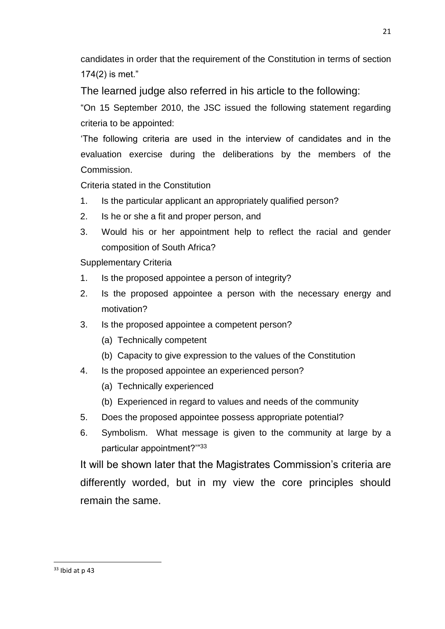candidates in order that the requirement of the Constitution in terms of section 174(2) is met."

The learned judge also referred in his article to the following:

"On 15 September 2010, the JSC issued the following statement regarding criteria to be appointed:

'The following criteria are used in the interview of candidates and in the evaluation exercise during the deliberations by the members of the Commission.

Criteria stated in the Constitution

- 1. Is the particular applicant an appropriately qualified person?
- 2. Is he or she a fit and proper person, and
- 3. Would his or her appointment help to reflect the racial and gender composition of South Africa?

Supplementary Criteria

- 1. Is the proposed appointee a person of integrity?
- 2. Is the proposed appointee a person with the necessary energy and motivation?
- 3. Is the proposed appointee a competent person?
	- (a) Technically competent
	- (b) Capacity to give expression to the values of the Constitution
- 4. Is the proposed appointee an experienced person?
	- (a) Technically experienced
	- (b) Experienced in regard to values and needs of the community
- 5. Does the proposed appointee possess appropriate potential?
- 6. Symbolism. What message is given to the community at large by a particular appointment?"33

It will be shown later that the Magistrates Commission's criteria are differently worded, but in my view the core principles should remain the same.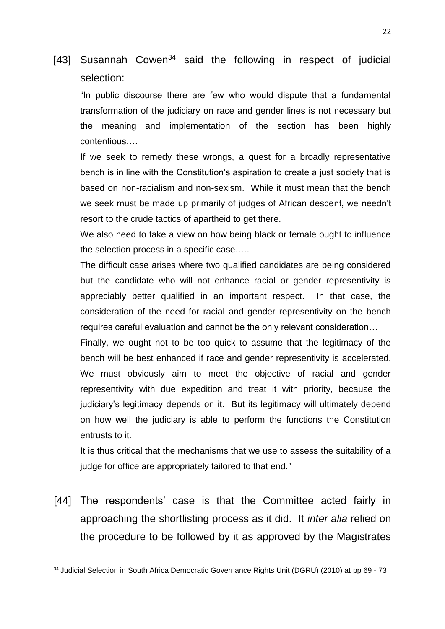## [43] Susannah Cowen<sup>34</sup> said the following in respect of judicial selection:

"In public discourse there are few who would dispute that a fundamental transformation of the judiciary on race and gender lines is not necessary but the meaning and implementation of the section has been highly contentious….

If we seek to remedy these wrongs, a quest for a broadly representative bench is in line with the Constitution's aspiration to create a just society that is based on non-racialism and non-sexism. While it must mean that the bench we seek must be made up primarily of judges of African descent, we needn't resort to the crude tactics of apartheid to get there.

We also need to take a view on how being black or female ought to influence the selection process in a specific case…..

The difficult case arises where two qualified candidates are being considered but the candidate who will not enhance racial or gender representivity is appreciably better qualified in an important respect. In that case, the consideration of the need for racial and gender representivity on the bench requires careful evaluation and cannot be the only relevant consideration…

Finally, we ought not to be too quick to assume that the legitimacy of the bench will be best enhanced if race and gender representivity is accelerated. We must obviously aim to meet the objective of racial and gender representivity with due expedition and treat it with priority, because the judiciary's legitimacy depends on it. But its legitimacy will ultimately depend on how well the judiciary is able to perform the functions the Constitution entrusts to it.

It is thus critical that the mechanisms that we use to assess the suitability of a judge for office are appropriately tailored to that end."

[44] The respondents' case is that the Committee acted fairly in approaching the shortlisting process as it did. It *inter alia* relied on the procedure to be followed by it as approved by the Magistrates

<sup>&</sup>lt;sup>34</sup> Judicial Selection in South Africa Democratic Governance Rights Unit (DGRU) (2010) at pp 69 - 73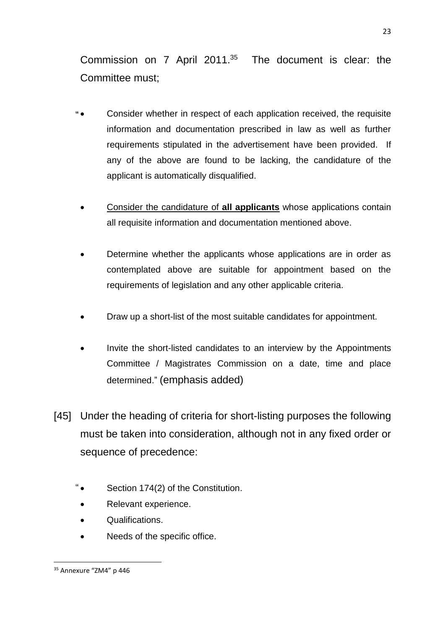Commission on 7 April 2011.<sup>35</sup> The document is clear: the Committee must;

- Consider whether in respect of each application received, the requisite information and documentation prescribed in law as well as further requirements stipulated in the advertisement have been provided. If any of the above are found to be lacking, the candidature of the applicant is automatically disqualified.
	- Consider the candidature of **all applicants** whose applications contain all requisite information and documentation mentioned above.
	- Determine whether the applicants whose applications are in order as contemplated above are suitable for appointment based on the requirements of legislation and any other applicable criteria.
	- Draw up a short-list of the most suitable candidates for appointment.
	- Invite the short-listed candidates to an interview by the Appointments Committee / Magistrates Commission on a date, time and place determined." (emphasis added)
- [45] Under the heading of criteria for short-listing purposes the following must be taken into consideration, although not in any fixed order or sequence of precedence:
	- Section 174(2) of the Constitution.
	- Relevant experience.
	- Qualifications.
	- Needs of the specific office.

<sup>35</sup> Annexure "ZM4" p 446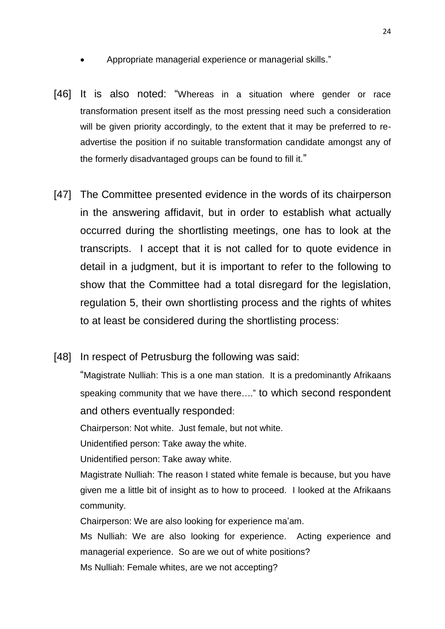- Appropriate managerial experience or managerial skills."
- [46] It is also noted: "Whereas in a situation where gender or race transformation present itself as the most pressing need such a consideration will be given priority accordingly, to the extent that it may be preferred to readvertise the position if no suitable transformation candidate amongst any of the formerly disadvantaged groups can be found to fill it."
- [47] The Committee presented evidence in the words of its chairperson in the answering affidavit, but in order to establish what actually occurred during the shortlisting meetings, one has to look at the transcripts. I accept that it is not called for to quote evidence in detail in a judgment, but it is important to refer to the following to show that the Committee had a total disregard for the legislation, regulation 5, their own shortlisting process and the rights of whites to at least be considered during the shortlisting process:
- [48] In respect of Petrusburg the following was said:

"Magistrate Nulliah: This is a one man station. It is a predominantly Afrikaans speaking community that we have there…." to which second respondent and others eventually responded:

Chairperson: Not white. Just female, but not white.

Unidentified person: Take away the white.

Unidentified person: Take away white.

Magistrate Nulliah: The reason I stated white female is because, but you have given me a little bit of insight as to how to proceed. I looked at the Afrikaans community.

Chairperson: We are also looking for experience ma'am.

Ms Nulliah: We are also looking for experience. Acting experience and managerial experience. So are we out of white positions? Ms Nulliah: Female whites, are we not accepting?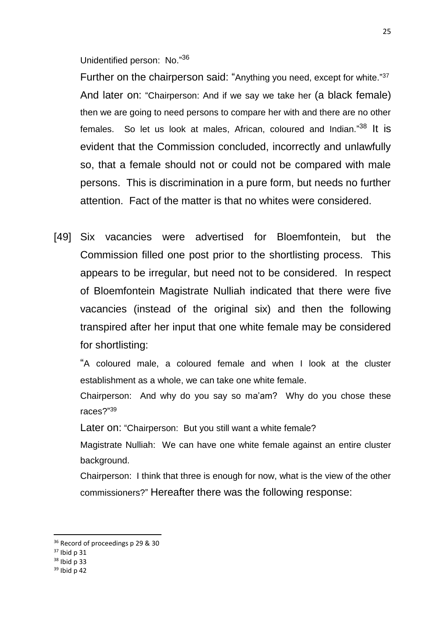Unidentified person: No."36

Further on the chairperson said: "Anything you need, except for white."<sup>37</sup> And later on: "Chairperson: And if we say we take her (a black female) then we are going to need persons to compare her with and there are no other females. So let us look at males, African, coloured and Indian."<sup>38</sup> It is evident that the Commission concluded, incorrectly and unlawfully so, that a female should not or could not be compared with male persons. This is discrimination in a pure form, but needs no further attention. Fact of the matter is that no whites were considered.

[49] Six vacancies were advertised for Bloemfontein, but the Commission filled one post prior to the shortlisting process. This appears to be irregular, but need not to be considered. In respect of Bloemfontein Magistrate Nulliah indicated that there were five vacancies (instead of the original six) and then the following transpired after her input that one white female may be considered for shortlisting:

"A coloured male, a coloured female and when I look at the cluster establishment as a whole, we can take one white female.

Chairperson: And why do you say so ma'am? Why do you chose these races?" 39

Later on: "Chairperson: But you still want a white female?

Magistrate Nulliah: We can have one white female against an entire cluster background.

Chairperson: I think that three is enough for now, what is the view of the other commissioners?" Hereafter there was the following response:

**.** 

 $39$  Ibid n 42

<sup>&</sup>lt;sup>36</sup> Record of proceedings p 29 & 30

 $37$  Ibid p 31

<sup>38</sup> Ibid p 33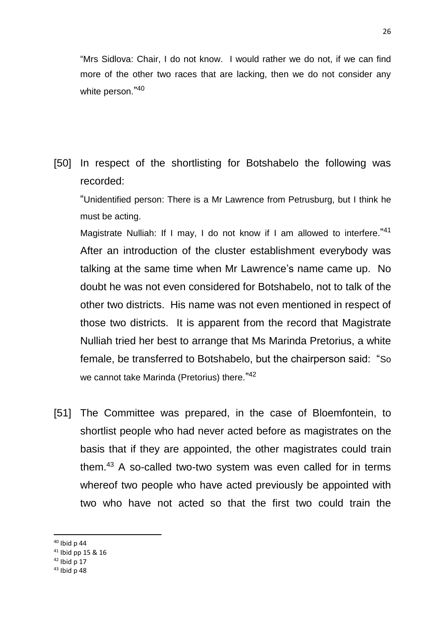"Mrs Sidlova: Chair, I do not know. I would rather we do not, if we can find more of the other two races that are lacking, then we do not consider any white person." 40

[50] In respect of the shortlisting for Botshabelo the following was recorded:

"Unidentified person: There is a Mr Lawrence from Petrusburg, but I think he must be acting.

Magistrate Nulliah: If I may, I do not know if I am allowed to interfere."<sup>41</sup> After an introduction of the cluster establishment everybody was talking at the same time when Mr Lawrence's name came up. No doubt he was not even considered for Botshabelo, not to talk of the other two districts. His name was not even mentioned in respect of those two districts. It is apparent from the record that Magistrate Nulliah tried her best to arrange that Ms Marinda Pretorius, a white female, be transferred to Botshabelo, but the chairperson said: "So we cannot take Marinda (Pretorius) there.<sup>"42</sup>

[51] The Committee was prepared, in the case of Bloemfontein, to shortlist people who had never acted before as magistrates on the basis that if they are appointed, the other magistrates could train them.<sup>43</sup> A so-called two-two system was even called for in terms whereof two people who have acted previously be appointed with two who have not acted so that the first two could train the

<sup>40</sup> Ibid p 44

<sup>41</sup> Ibid pp 15 & 16

 $42$  Ibid p 17

 $43$  Ibid n 48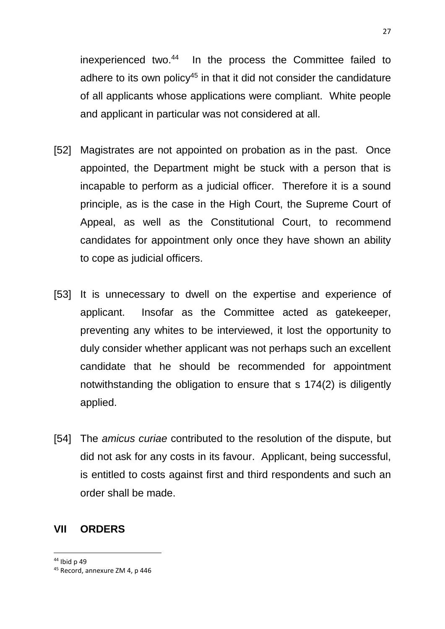inexperienced two.<sup>44</sup> In the process the Committee failed to adhere to its own policy<sup>45</sup> in that it did not consider the candidature of all applicants whose applications were compliant. White people and applicant in particular was not considered at all.

- [52] Magistrates are not appointed on probation as in the past. Once appointed, the Department might be stuck with a person that is incapable to perform as a judicial officer. Therefore it is a sound principle, as is the case in the High Court, the Supreme Court of Appeal, as well as the Constitutional Court, to recommend candidates for appointment only once they have shown an ability to cope as judicial officers.
- [53] It is unnecessary to dwell on the expertise and experience of applicant. Insofar as the Committee acted as gatekeeper, preventing any whites to be interviewed, it lost the opportunity to duly consider whether applicant was not perhaps such an excellent candidate that he should be recommended for appointment notwithstanding the obligation to ensure that s 174(2) is diligently applied.
- [54] The *amicus curiae* contributed to the resolution of the dispute, but did not ask for any costs in its favour. Applicant, being successful, is entitled to costs against first and third respondents and such an order shall be made.

#### **VII ORDERS**

<sup>44</sup> Ibid p 49

<sup>45</sup> Record, annexure ZM 4, p 446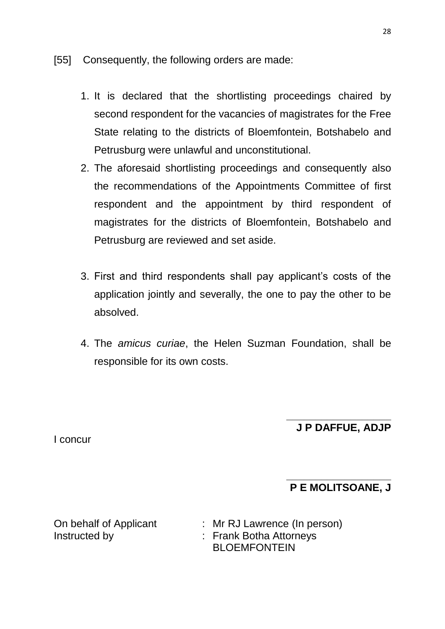- [55] Consequently, the following orders are made:
	- 1. It is declared that the shortlisting proceedings chaired by second respondent for the vacancies of magistrates for the Free State relating to the districts of Bloemfontein, Botshabelo and Petrusburg were unlawful and unconstitutional.
	- 2. The aforesaid shortlisting proceedings and consequently also the recommendations of the Appointments Committee of first respondent and the appointment by third respondent of magistrates for the districts of Bloemfontein, Botshabelo and Petrusburg are reviewed and set aside.
	- 3. First and third respondents shall pay applicant's costs of the application jointly and severally, the one to pay the other to be absolved.
	- 4. The *amicus curiae*, the Helen Suzman Foundation, shall be responsible for its own costs.

#### **\_\_\_\_\_\_\_\_\_\_\_\_\_\_\_\_\_\_ J P DAFFUE, ADJP**

I concur

#### **\_\_\_\_\_\_\_\_\_\_\_\_\_\_\_\_\_\_ P E MOLITSOANE, J**

On behalf of Applicant : Mr RJ Lawrence (In person) Instructed by : Frank Botha Attorneys BLOEMFONTEIN